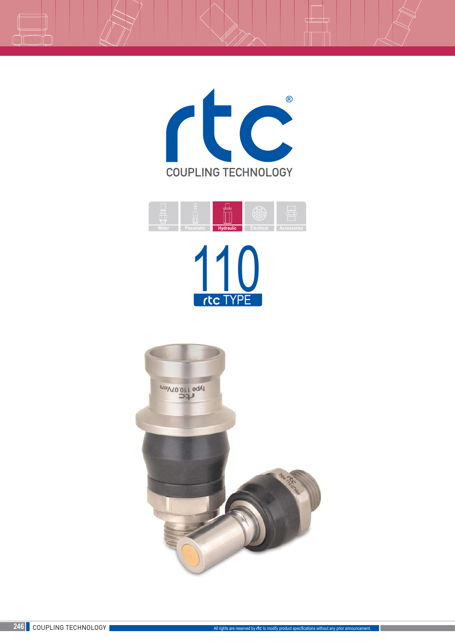



THE TYPE

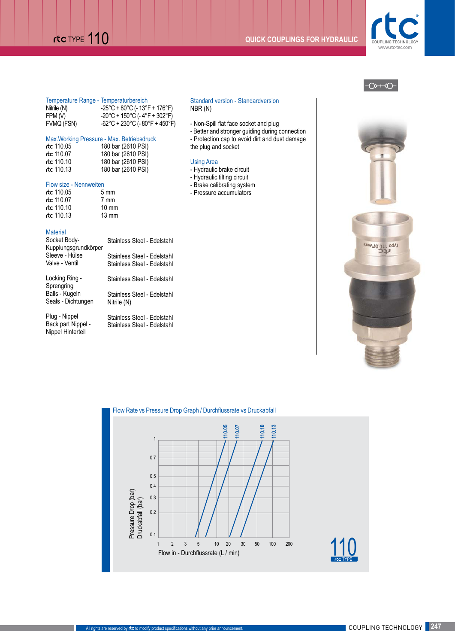# THE **110 COUPLINGS FOR HYDRAULIC**





| Temperature Range - Temperaturbereich |                                                                                                                                                      |
|---------------------------------------|------------------------------------------------------------------------------------------------------------------------------------------------------|
| Nitrile (N)<br>FPM (V)                | $-25^{\circ}$ C + 80 $^{\circ}$ C (- 13 $^{\circ}$ F + 176 $^{\circ}$ F)<br>$-20^{\circ}$ C + 150 $^{\circ}$ C (- 4 $^{\circ}$ F + 302 $^{\circ}$ F) |
| FVMQ (FSN)                            | -62°C + 230°C (- 80°F + 450°F)                                                                                                                       |

# Max.Working Pressure - Max. Betriebsdruck  $r$  (1

| rtc 110.05            | 180 bar (2610 PSI) |
|-----------------------|--------------------|
| $\epsilon$ ctc 110.07 | 180 bar (2610 PSI) |
| $\epsilon$ ctc 110.10 | 180 bar (2610 PSI) |
| rtc $110.13$          | 180 bar (2610 PSI) |

### Flow size - Nennweiten

| rtc 110.05 | $5 \text{ mm}$  |
|------------|-----------------|
| rtc 110.07 | 7 mm            |
| rtc 110.10 | $10 \text{ mm}$ |
| rtc 110.13 | $13 \text{ mm}$ |

# **Material**

| Socket Body-<br>Kupplungsgrundkörper | Stainless Steel - Edelstahl |
|--------------------------------------|-----------------------------|
| Sleeve - Hülse                       | Stainless Steel - Edelstahl |
| Valve - Ventil                       | Stainless Steel - Edelstahl |
| Locking Ring -<br>Sprengring         | Stainless Steel - Edelstahl |
| Balls - Kugeln                       | Stainless Steel - Edelstahl |
| Seals - Dichtungen                   | Nitrile (N)                 |
| Plug - Nippel                        | Stainless Steel - Edelstahl |
| Back part Nippel -                   | Stainless Steel - Edelstahl |

Back part Nippel - Nippel Hinterteil

### Standard version - Standardversion NBR (N)

- Non-Spill flat face socket and plug
- Better and stronger guiding during connection - Protection cap to avoid dirt and dust damage
- the plug and socket

# Using Area

- Hydraulic brake circuit
- Hydraulic tilting circuit
- Brake calibrating system
- Pressure accumulators







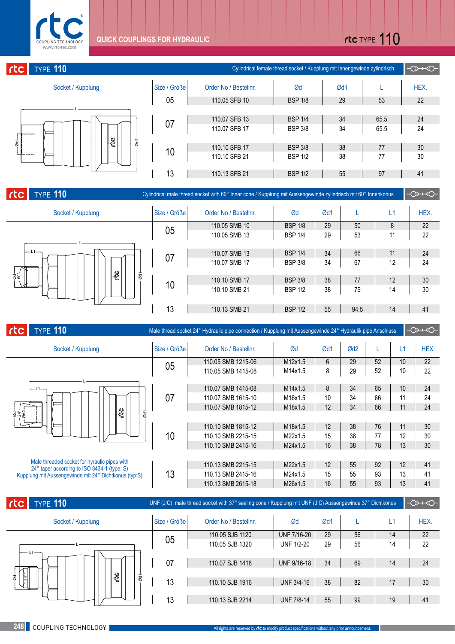

# rtc TYPE 110

| <b>TYPE 110</b><br>rtc |              |                       | Cylindrical female thread socket / Kupplung mit Innengewinde zylindrisch |     |      | $-0$ $\rightarrow$ |
|------------------------|--------------|-----------------------|--------------------------------------------------------------------------|-----|------|--------------------|
| Socket / Kupplung      | Size / Größe | Order No / Bestellnr. | Ød                                                                       | Ød1 |      | HEX.               |
|                        | 05           | 110.05 SFB 10         | <b>BSP 1/8</b>                                                           | 29  | 53   | 22                 |
|                        |              |                       |                                                                          |     |      |                    |
| දී<br>$\frac{1}{8}$    | 07           | 110.07 SFB 13         | <b>BSP 1/4</b>                                                           | 34  | 65.5 | 24                 |
|                        |              | 110.07 SFB 17         | <b>BSP 3/8</b>                                                           | 34  | 65.5 | 24                 |
| g                      |              | 110.10 SFB 17         | <b>BSP 3/8</b>                                                           | 38  | 77   | 30                 |
| baasar i               | 10           | 110.10 SFB 21         | <b>BSP 1/2</b>                                                           | 38  | 77   | 30                 |
|                        | 13           | 110.13 SFB 21         | <b>BSP 1/2</b>                                                           | 55  | 97   | 41                 |

| rctc<br><b>TYPE 110</b>                            |              | Cylindrical male thread socket with 60° Inner cone / Kupplung mit Aussengewinde zylindrisch mit 60° Innenkonus |                |     |      |    | $\rightarrow$ |
|----------------------------------------------------|--------------|----------------------------------------------------------------------------------------------------------------|----------------|-----|------|----|---------------|
| Socket / Kupplung                                  | Size / Größe | Order No / Bestellnr.                                                                                          | Ød             | Ød1 |      | £1 | HEX.          |
|                                                    |              | 110.05 SMB 10                                                                                                  | <b>BSP 1/8</b> | 29  | 50   | 8  | 22            |
|                                                    | 05           | 110.05 SMB 13                                                                                                  | <b>BSP 1/4</b> | 29  | 53   | 11 | 22            |
|                                                    |              |                                                                                                                |                |     |      |    |               |
| $-L1$<br>త్రి<br>$\frac{1}{88}$<br>Ød <sub>1</sub> | 07           | 110.07 SMB 13                                                                                                  | <b>BSP 1/4</b> | 34  | 66   | 11 | 24            |
|                                                    |              | 110.07 SMB 17                                                                                                  | <b>BSP 3/8</b> | 34  | 67   | 12 | 24            |
|                                                    |              | 110.10 SMB 17                                                                                                  | <b>BSP 3/8</b> | 38  | 77   | 12 | 30            |
|                                                    | 10           | 110.10 SMB 21                                                                                                  | <b>BSP 1/2</b> | 38  | 79   | 14 | 30            |
|                                                    | 13           | 110.13 SMB 21                                                                                                  | <b>BSP 1/2</b> | 55  | 94.5 | 14 | 41            |
|                                                    |              |                                                                                                                |                |     |      |    |               |

| $ $ rtc $ $<br><b>TYPE 110</b>                                                              |              | Male thread socket 24° Hydraulic pipe connection / Kupplung mit Aussengewinde 24° Hydraulik pipe Anschluss |         |                |     |    |    | $\rightarrow$ |
|---------------------------------------------------------------------------------------------|--------------|------------------------------------------------------------------------------------------------------------|---------|----------------|-----|----|----|---------------|
| Socket / Kupplung                                                                           | Size / Größe | Order No / Bestellnr.                                                                                      | Ød      | Ød1            | Qd2 | L  | L1 | HEX.          |
|                                                                                             | 05           | 110.05 SMB 1215-06                                                                                         | M12x1.5 | $6\phantom{1}$ | 29  | 52 | 10 | 22            |
|                                                                                             |              | 110.05 SMB 1415-08                                                                                         | M14x1.5 | 8              | 29  | 52 | 10 | 22            |
|                                                                                             |              |                                                                                                            |         |                |     |    |    |               |
| $-L1-$                                                                                      |              | 110.07 SMB 1415-08                                                                                         | M14x1.5 | 8              | 34  | 65 | 10 | 24            |
|                                                                                             | 07           | 110.07 SMB 1615-10                                                                                         | M16x1.5 | 10             | 34  | 66 | 11 | 24            |
|                                                                                             |              | 110.07 SMB 1815-12                                                                                         | M18x1.5 | 12             | 34  | 66 | 11 | 24            |
| දී<br>$\overline{\omega}$<br>ತ್ವ ಸಿತ್ರ<br>ಕನ್ನಡ                                             |              |                                                                                                            |         |                |     |    |    |               |
|                                                                                             |              | 110.10 SMB 1815-12                                                                                         | M18x1.5 | 12             | 38  | 76 | 11 | 30            |
|                                                                                             | 10           | 110.10 SMB 2215-15                                                                                         | M22x1.5 | 15             | 38  | 77 | 12 | 30            |
|                                                                                             |              | 110.10 SMB 2415-16                                                                                         | M24x1.5 | 16             | 38  | 78 | 13 | 30            |
|                                                                                             |              |                                                                                                            |         |                |     |    |    |               |
| Male threaded socket for hyraulic pipes with<br>24° taper according to ISO 8434-1 (type: S) |              | 110.13 SMB 2215-15                                                                                         | M22x1.5 | 12             | 55  | 92 | 12 | 41            |
| Kupplung mit Aussengewinde mit 24° Dichtkonus (typ:S)                                       | 13           | 110.13 SMB 2415-16                                                                                         | M24x1.5 | 15             | 55  | 93 | 13 | 41            |
|                                                                                             |              | 110.13 SMB 2615-18                                                                                         | M26x1.5 | 16             | 55  | 93 | 13 | 41            |

| rtc<br><b>TYPE 110</b>                       |              | UNF (JIC) male thread socket with 37° sealing cone / Kupplung mit UNF (JIC) Aussengewinde 37° Dichtkonus |                   |     |    |    | $\rightarrow$ |
|----------------------------------------------|--------------|----------------------------------------------------------------------------------------------------------|-------------------|-----|----|----|---------------|
| Socket / Kupplung                            | Size / Größe | Order No / Bestellnr.                                                                                    | Ød                | Ød1 |    | L1 | HEX.          |
|                                              |              | 110.05 SJB 1120                                                                                          | UNF 7/16-20       | 29  | 56 | 14 | 22            |
|                                              | 05           | 110.05 SJB 1320                                                                                          | <b>UNF 1/2-20</b> | 29  | 56 | 14 | 22            |
| $11$ ——                                      |              |                                                                                                          |                   |     |    |    |               |
|                                              | 07           | 110.07 SJB 1418                                                                                          | UNF 9/16-18       | 34  | 69 | 14 | 24            |
| දී<br>ġ.<br>Ød <sub>1</sub><br>$\frac{1}{2}$ |              |                                                                                                          |                   |     |    |    |               |
|                                              | 13           | 110.10 SJB 1916                                                                                          | <b>UNF 3/4-16</b> | 38  | 82 | 17 | 30            |
|                                              |              |                                                                                                          |                   |     |    |    |               |
|                                              | 13           | 110.13 SJB 2214                                                                                          | <b>UNF 7/8-14</b> | 55  | 99 | 19 | 41            |